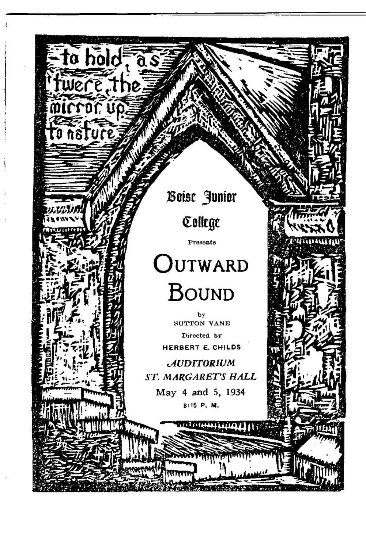Boise Junior

to hold, as

Were the

College

Presents

m

# OUTWARD **BOUND**

bv SUTTON VANE Directed by HERBERT E. CHILDS

**AUDITORIUM** ST. MARGARET'S HALL

May 4 and 5, 1934 8:15 P. M.

terretti vitriv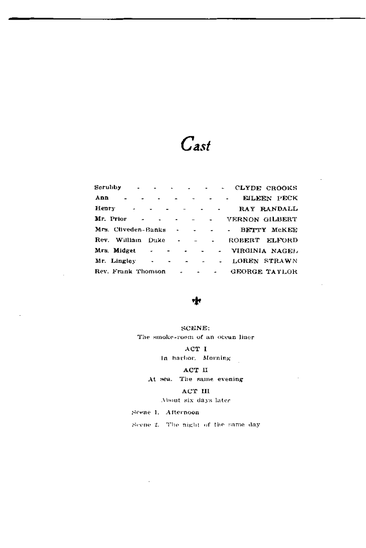## $\mathcal{C}$ ast

| $Scrubby$ $\qquad \qquad$ $\qquad \qquad$ $\qquad$ $\qquad$ $\qquad$ $\qquad$ $\qquad$ $\qquad$ $\qquad$ $\qquad$ $\qquad$ $\qquad$ $\qquad$ $\qquad$ $\qquad$ $\qquad$ $\qquad$ $\qquad$ $\qquad$ $\qquad$ $\qquad$ $\qquad$ $\qquad$ $\qquad$ $\qquad$ $\qquad$ $\qquad$ $\qquad$ $\qquad$ $\qquad$ $\qquad$ $\qquad$ $\qquad$ $\qquad$ $\qquad$ |  |  | CLYDE CROOKS                            |
|----------------------------------------------------------------------------------------------------------------------------------------------------------------------------------------------------------------------------------------------------------------------------------------------------------------------------------------------------|--|--|-----------------------------------------|
| Ann - - - - - - -                                                                                                                                                                                                                                                                                                                                  |  |  | EILEEN PECK                             |
|                                                                                                                                                                                                                                                                                                                                                    |  |  | Henry RAY RANDALL                       |
|                                                                                                                                                                                                                                                                                                                                                    |  |  | Mr. Prior VERNON GILBERT                |
| Mrs. Cliveden-Banks - - - - -                                                                                                                                                                                                                                                                                                                      |  |  | BETTY McKEE                             |
|                                                                                                                                                                                                                                                                                                                                                    |  |  | Rev. William Duke - - - - ROBERT ELFORD |
| Mrs. Midget - - - - -                                                                                                                                                                                                                                                                                                                              |  |  | VIRGINIA NAGEL                          |
| Mr. Lingley $\cdot$ $\cdot$ $\cdot$ $\cdot$ $\cdot$ $\cdot$                                                                                                                                                                                                                                                                                        |  |  | LOREN STRAWN                            |
|                                                                                                                                                                                                                                                                                                                                                    |  |  | Rev. Frank Thomson GEORGE TAYLOR        |

#### ٠ŀ

#### SCENE; The smoke-room of an ocean liner

ACT I In harbor. Morning

#### ACT II

#### At sea. The same evening

#### ACT III

About six days later

#### Scene 1. Afternoon

Scene 2. The night of the same day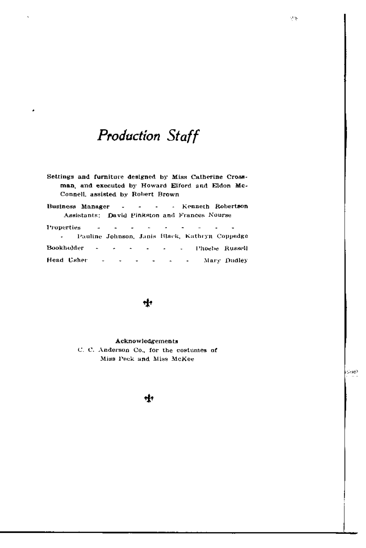### **Production Staff**

- Settings and furniture designed by Miss Catherine Crossman, and executed by Howard Elford and Eldon Mc-Connell, assisted by Robert Brown
- **Business Manager** - Kenneth Robertson  $\mathbb{Z}^2$  $\overline{a}$  $\overline{a}$ Assistants: David Pinkston and Frances Nourse

| Properties |  |  |  | in the second contract of the second contract of the second contract of the second contract of the second contract of the second contract of the second contract of the second contract of the second contract of the second c |                                                  |
|------------|--|--|--|--------------------------------------------------------------------------------------------------------------------------------------------------------------------------------------------------------------------------------|--------------------------------------------------|
|            |  |  |  |                                                                                                                                                                                                                                | - Pauline Johnson, Janis Black, Kathryn Coppedge |
|            |  |  |  |                                                                                                                                                                                                                                | Bookholder - - - - - - - l'hoebe Russell         |
|            |  |  |  |                                                                                                                                                                                                                                | Head Usher - - - - - - - Mary Dudley             |

#### $\mathbf{r}$

#### Acknowledgements

C. C. Anderson Co., for the costumes of Miss Peck and Miss McKee

ශ්ර

#### ÷